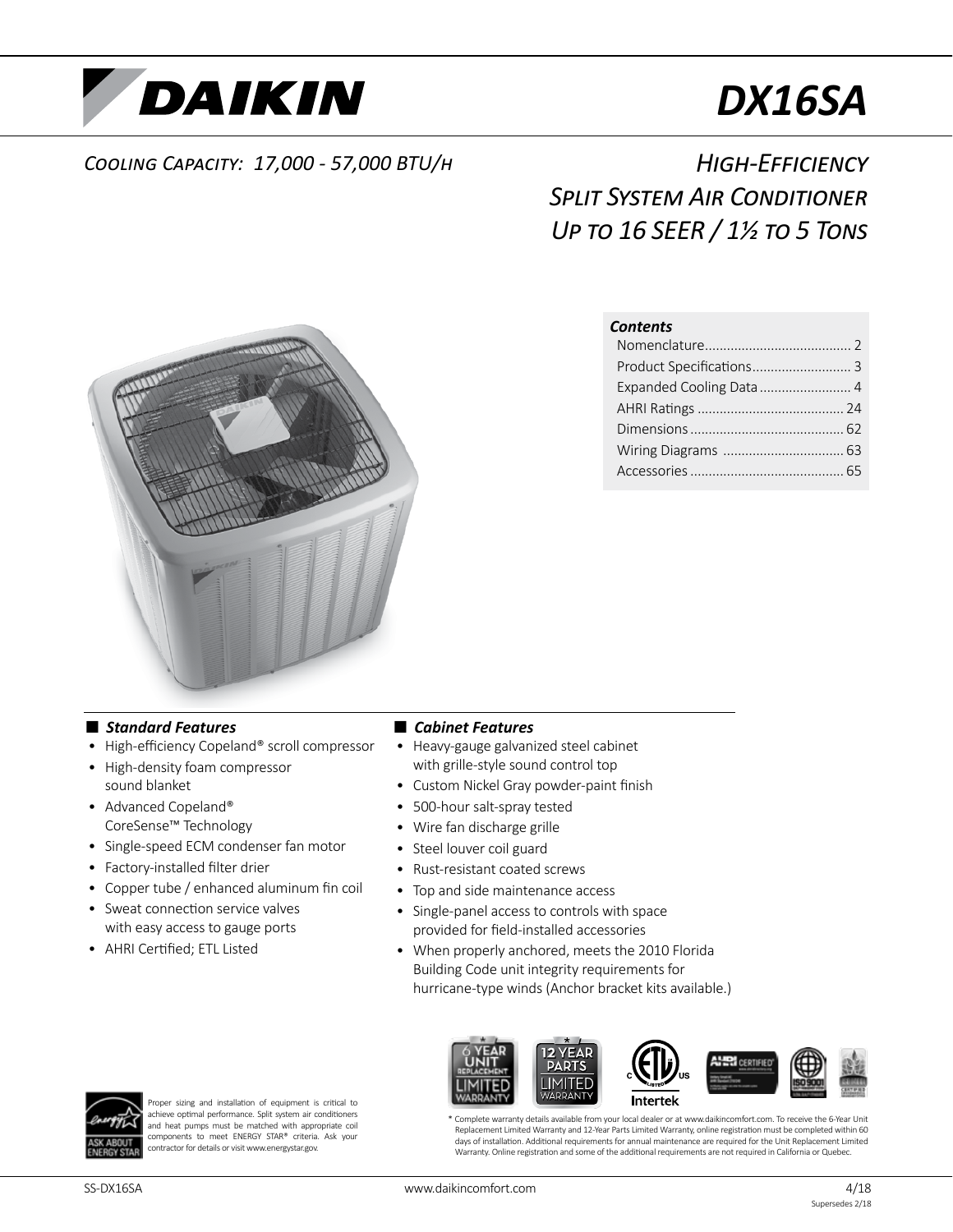

# *DX16SA*

## *Cooling Capacity: 17,000 - 57,000 BTU/h*

# *High-Efficiency Split System Air Conditioner Up to 16 SEER / 1½ to 5 Tons*

#### *Contents*

| Product Specifications 3 |  |
|--------------------------|--|
| Expanded Cooling Data  4 |  |
|                          |  |
|                          |  |
|                          |  |
|                          |  |



### ■ *Standard Features*

- High-efficiency Copeland® scroll compressor
- High-density foam compressor sound blanket
- Advanced Copeland® CoreSense™ Technology
- Single-speed ECM condenser fan motor
- Factory-installed filter drier
- Copper tube / enhanced aluminum fin coil
- Sweat connection service valves with easy access to gauge ports
- AHRI Certified; ETL Listed

#### ■ *Cabinet Features*

- Heavy-gauge galvanized steel cabinet with grille-style sound control top
- Custom Nickel Gray powder-paint finish
- 500-hour salt-spray tested
- Wire fan discharge grille
- Steel louver coil guard
- Rust-resistant coated screws
- Top and side maintenance access
- Single-panel access to controls with space provided for field-installed accessories
- When properly anchored, meets the 2010 Florida Building Code unit integrity requirements for hurricane-type winds (Anchor bracket kits available.)



Proper sizing and installation of equipment is critical to achieve optimal performance. Split system air conditioners and heat pumps must be matched with appropriate coil components to meet ENERGY STAR® criteria. Ask your contractor for details or visit www.energystar.gov.

**ERI** CERTIFIE Intertek

\* Complete warranty details available from your local dealer or at www.daikincomfort.com. To receive the 6-Year Unit Replacement Limited Warranty and 12-Year Parts Limited Warranty, online registration must be completed within 60 days of installation. Additional requirements for annual maintenance are required for the Unit Replacement Limited Warranty. Online registration and some of the additional requirements are not required in California or Quebec.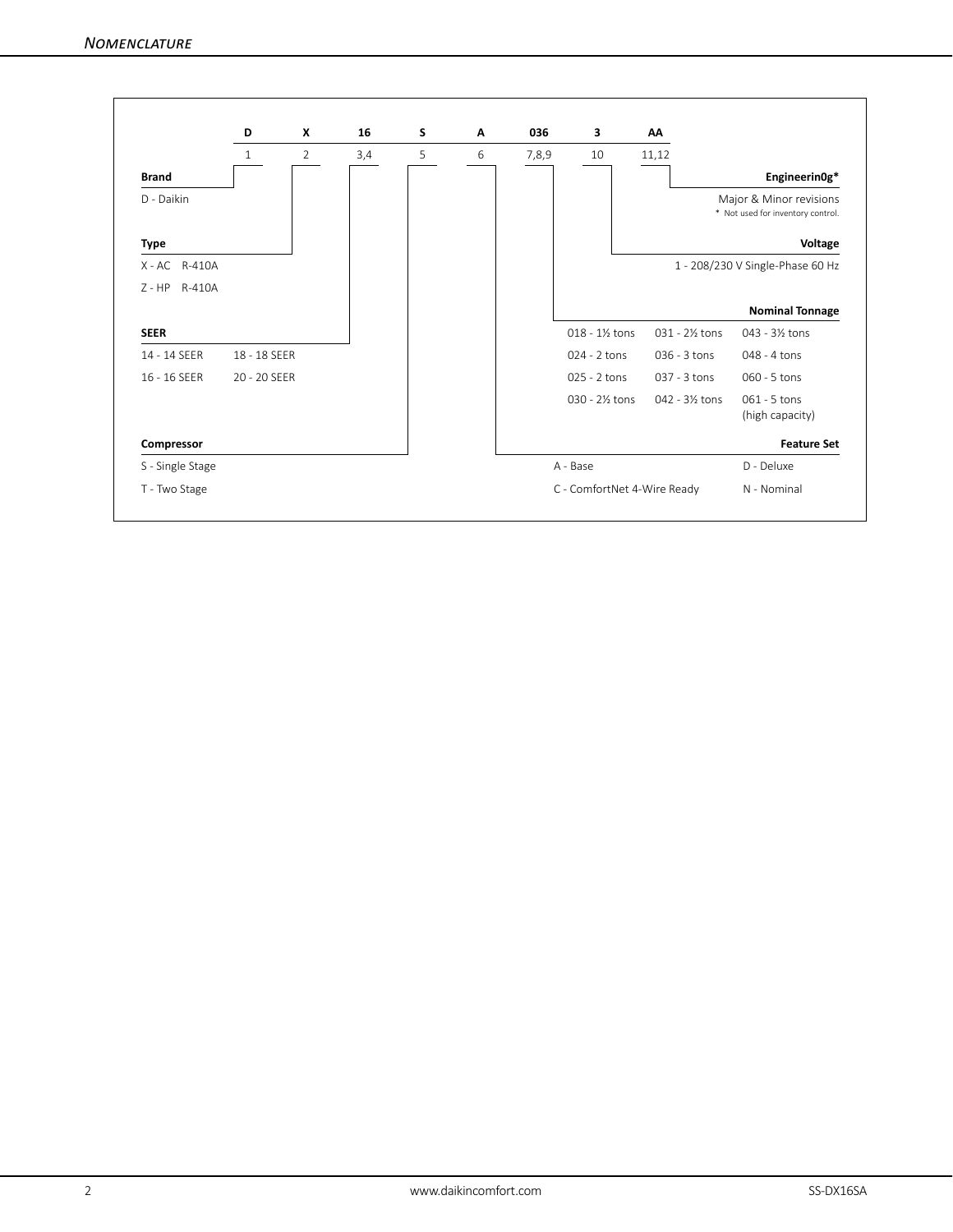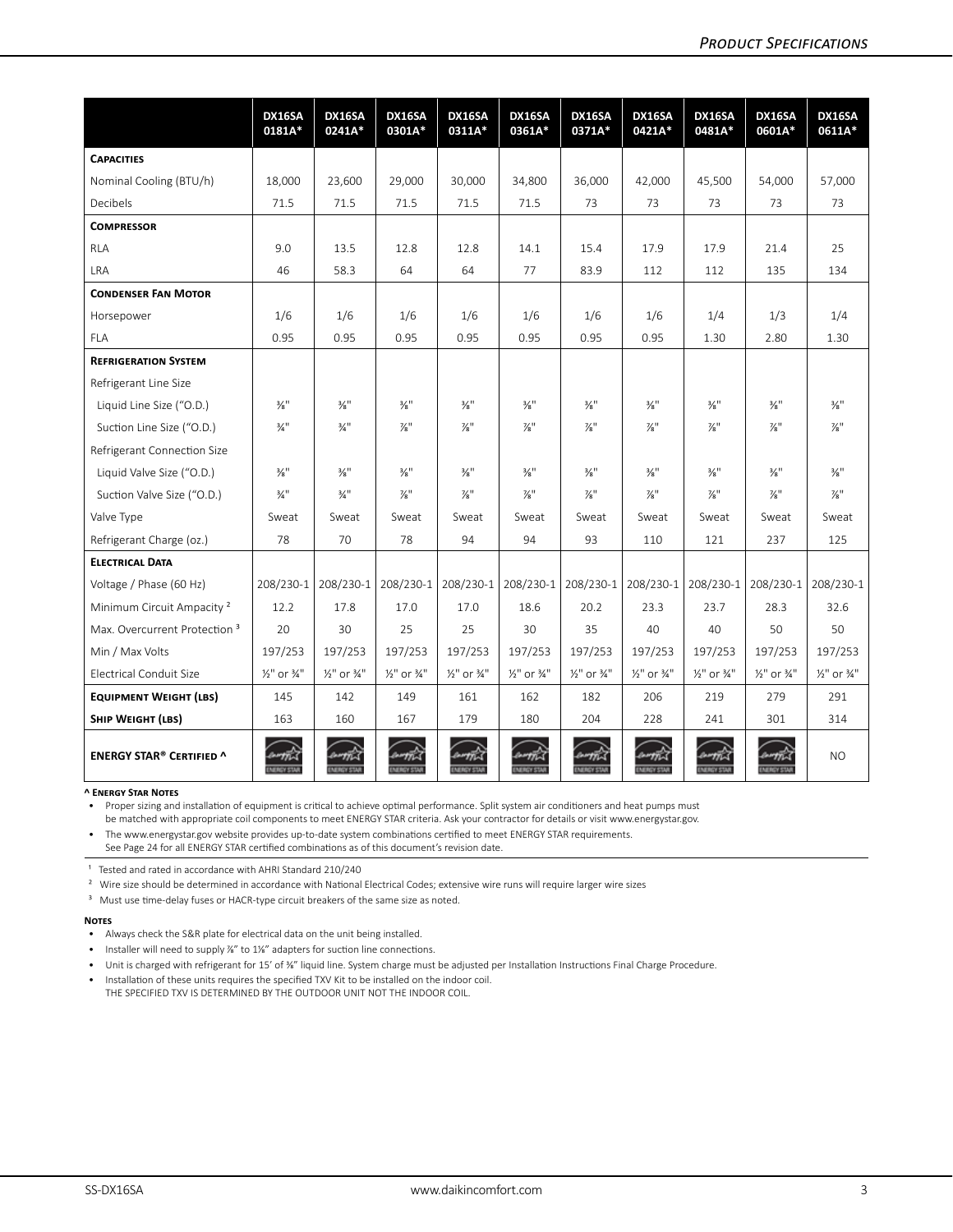|                                          | DX16SA<br>0181A*                   | DX16SA<br>0241A*                   | DX16SA<br>0301A*                   | DX16SA<br>0311A*            | DX16SA<br>0361A*                   | DX16SA<br>0371A*                   | DX16SA<br>0421A*                   | DX16SA<br>0481A*                   | DX16SA<br>0601A*                   | DX16SA<br>0611A*                   |
|------------------------------------------|------------------------------------|------------------------------------|------------------------------------|-----------------------------|------------------------------------|------------------------------------|------------------------------------|------------------------------------|------------------------------------|------------------------------------|
| <b>CAPACITIES</b>                        |                                    |                                    |                                    |                             |                                    |                                    |                                    |                                    |                                    |                                    |
| Nominal Cooling (BTU/h)                  | 18,000                             | 23,600                             | 29,000                             | 30,000                      | 34,800                             | 36,000                             | 42,000                             | 45,500                             | 54,000                             | 57,000                             |
| <b>Decibels</b>                          | 71.5                               | 71.5                               | 71.5                               | 71.5                        | 71.5                               | 73                                 | 73                                 | 73                                 | 73                                 | 73                                 |
| <b>COMPRESSOR</b>                        |                                    |                                    |                                    |                             |                                    |                                    |                                    |                                    |                                    |                                    |
| <b>RLA</b>                               | 9.0                                | 13.5                               | 12.8                               | 12.8                        | 14.1                               | 15.4                               | 17.9                               | 17.9                               | 21.4                               | 25                                 |
| <b>LRA</b>                               | 46                                 | 58.3                               | 64                                 | 64                          | 77                                 | 83.9                               | 112                                | 112                                | 135                                | 134                                |
| <b>CONDENSER FAN MOTOR</b>               |                                    |                                    |                                    |                             |                                    |                                    |                                    |                                    |                                    |                                    |
| Horsepower                               | 1/6                                | 1/6                                | 1/6                                | 1/6                         | 1/6                                | 1/6                                | 1/6                                | 1/4                                | 1/3                                | 1/4                                |
| <b>FLA</b>                               | 0.95                               | 0.95                               | 0.95                               | 0.95                        | 0.95                               | 0.95                               | 0.95                               | 1.30                               | 2.80                               | 1.30                               |
| <b>REFRIGERATION SYSTEM</b>              |                                    |                                    |                                    |                             |                                    |                                    |                                    |                                    |                                    |                                    |
| Refrigerant Line Size                    |                                    |                                    |                                    |                             |                                    |                                    |                                    |                                    |                                    |                                    |
| Liquid Line Size ("O.D.)                 | $\frac{3}{8}$ <sup>11</sup>        | $\frac{3}{8}$ <sup>11</sup>        | $\frac{3}{8}$ <sup>11</sup>        | $\frac{3}{8}$ <sup>11</sup> | $\frac{3}{8}$ <sup>11</sup>        | $\frac{3}{8}$ <sup>11</sup>        | $\frac{3}{8}$ <sup>11</sup>        | $\frac{3}{8}$ <sup>11</sup>        | $\frac{3}{8}$ "                    | $\frac{3}{8}$ <sup>11</sup>        |
| Suction Line Size ("O.D.)                | $\frac{3}{4}$ "                    | $\frac{3}{4}$ "                    | $\frac{7}{8}$ "                    | $\frac{7}{8}$ "             | $\frac{7}{8}$ "                    | $\frac{7}{8}$ "                    | $\frac{7}{8}$ "                    | $\frac{7}{8}$ "                    | $\frac{7}{8}$ "                    | $\frac{7}{8}$ "                    |
| Refrigerant Connection Size              |                                    |                                    |                                    |                             |                                    |                                    |                                    |                                    |                                    |                                    |
| Liquid Valve Size ("O.D.)                | $\frac{3}{8}$ <sup>11</sup>        | $\frac{3}{8}$ "                    | $\frac{3}{8}$ <sup>11</sup>        | $\frac{3}{8}$ <sup>11</sup> | $\frac{3}{8}$ <sup>11</sup>        | $\frac{3}{8}$ <sup>11</sup>        | $\frac{3}{8}$ <sup>11</sup>        | $\frac{3}{8}$ <sup>11</sup>        | $\frac{3}{8}$ "                    | $\frac{3}{8}$ <sup>11</sup>        |
| Suction Valve Size ("O.D.)               | $\frac{3}{4}$ <sup>11</sup>        | $\frac{3}{4}$ <sup>11</sup>        | $\frac{7}{8}$ "                    | $\frac{7}{8}$ "             | $\frac{7}{8}$ "                    | $\frac{7}{8}$ "                    | $\frac{7}{8}$ "                    | $\frac{7}{8}$ <sup>11</sup>        | $\frac{7}{8}$ "                    | $\frac{7}{8}$ "                    |
| Valve Type                               | Sweat                              | Sweat                              | Sweat                              | Sweat                       | Sweat                              | Sweat                              | Sweat                              | Sweat                              | Sweat                              | Sweat                              |
| Refrigerant Charge (oz.)                 | 78                                 | 70                                 | 78                                 | 94                          | 94                                 | 93                                 | 110                                | 121                                | 237                                | 125                                |
| <b>ELECTRICAL DATA</b>                   |                                    |                                    |                                    |                             |                                    |                                    |                                    |                                    |                                    |                                    |
| Voltage / Phase (60 Hz)                  | 208/230-1                          | 208/230-1                          | 208/230-1                          | $208/230-1$                 | 208/230-1                          | 208/230-1                          | 208/230-1                          | 208/230-1                          | 208/230-1                          | 208/230-1                          |
| Minimum Circuit Ampacity <sup>2</sup>    | 12.2                               | 17.8                               | 17.0                               | 17.0                        | 18.6                               | 20.2                               | 23.3                               | 23.7                               | 28.3                               | 32.6                               |
| Max. Overcurrent Protection <sup>3</sup> | 20                                 | 30                                 | 25                                 | 25                          | 30                                 | 35                                 | 40                                 | 40                                 | 50                                 | 50                                 |
| Min / Max Volts                          | 197/253                            | 197/253                            | 197/253                            | 197/253                     | 197/253                            | 197/253                            | 197/253                            | 197/253                            | 197/253                            | 197/253                            |
| Electrical Conduit Size                  | $\frac{1}{2}$ " or $\frac{3}{4}$ " | $\frac{1}{2}$ " or $\frac{3}{4}$ " | $\frac{1}{2}$ " or $\frac{3}{4}$ " | 1/ <sub>2</sub> " or 3/4"   | $\frac{1}{2}$ " or $\frac{3}{4}$ " | $\frac{1}{2}$ " or $\frac{3}{4}$ " | $\frac{1}{2}$ " or $\frac{3}{4}$ " | $\frac{1}{2}$ " or $\frac{3}{4}$ " | $\frac{1}{2}$ " or $\frac{3}{4}$ " | $\frac{1}{2}$ " or $\frac{3}{4}$ " |
| <b>EQUIPMENT WEIGHT (LBS)</b>            | 145                                | 142                                | 149                                | 161                         | 162                                | 182                                | 206                                | 219                                | 279                                | 291                                |
| SHIP WEIGHT (LBS)                        | 163                                | 160                                | 167                                | 179                         | 180                                | 204                                | 228                                | 241                                | 301                                | 314                                |
| <b>ENERGY STAR® CERTIFIED ^</b>          | <b>MINSK</b>                       | <b>WIGYEN</b>                      | <b>MIGY STA</b>                    | <b>Million State</b>        | <b>MIGHTS</b>                      | <b>MAGYERS</b>                     | <b>MAGYERS</b>                     | <b>MINSY STA</b>                   | <b>MINSY STAR</b>                  | NO.                                |

#### **^ Energy Star Notes**

• Proper sizing and installation of equipment is critical to achieve optimal performance. Split system air conditioners and heat pumps must

be matched with appropriate coil components to meet ENERGY STAR criteria. Ask your contractor for details or visit www.energystar.gov.

• The www.energystar.gov website provides up-to-date system combinations certified to meet ENERGY STAR requirements.

See Page 24 for all ENERGY STAR certified combinations as of this document's revision date.

<sup>1</sup> Tested and rated in accordance with AHRI Standard 210/240

<sup>2</sup> Wire size should be determined in accordance with National Electrical Codes; extensive wire runs will require larger wire sizes

<sup>3</sup> Must use time-delay fuses or HACR-type circuit breakers of the same size as noted.

#### **Notes**

- Always check the S&R plate for electrical data on the unit being installed.
- Installer will need to supply %" to 1%" adapters for suction line connections.
- Unit is charged with refrigerant for 15' of ⅜" liquid line. System charge must be adjusted per Installation Instructions Final Charge Procedure.
- Installation of these units requires the specified TXV Kit to be installed on the indoor coil. THE SPECIFIED TXV IS DETERMINED BY THE OUTDOOR UNIT NOT THE INDOOR COIL.